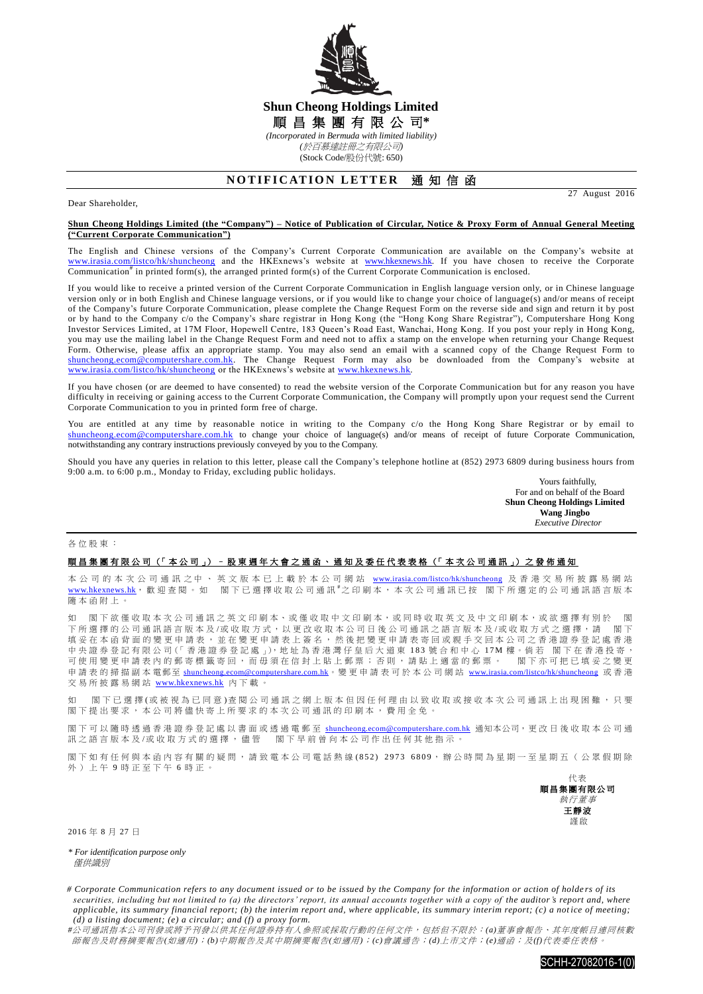

## **Shun Cheong Holdings Limited** 順 昌 集 團 有 限 公 司**\*** *(Incorporated in Bermuda with limited liability) (*於百慕達註冊之有限公司*)*

(Stock Code/股份代號: 650)

# **NOTIFICATION LETTER 通知信函**

Dear Shareholder,

27 August 2016

#### **Shun Cheong Holdings Limited (the "Company") – Notice of Publication of Circular, Notice & Proxy Form of Annual General Meeting ("Current Corporate Communication")**

The English and Chinese versions of the Company's Current Corporate Communication are available on the Company's website at [www.irasia.com/listco/hk/shuncheong](http://www.irasia.com/listco/hk/shuncheong) and the HKExnews's website at [www.hkexnews.hk.](http://www.hkexnews.hk/) If you have chosen to receive the Corporate Communication<sup>#</sup> in printed form(s), the arranged printed form(s) of the Current Corporate Communication is enclosed.

If you would like to receive a printed version of the Current Corporate Communication in English language version only, or in Chinese language version only or in both English and Chinese language versions, or if you would like to change your choice of language(s) and/or means of receipt of the Company's future Corporate Communication, please complete the Change Request Form on the reverse side and sign and return it by post or by hand to the Company c/o the Company's share registrar in Hong Kong (the "Hong Kong Share Registrar"), Computershare Hong Kong Investor Services Limited, at 17M Floor, Hopewell Centre, 183 Queen's Road East, Wanchai, Hong Kong. If you post your reply in Hong Kong, you may use the mailing label in the Change Request Form and need not to affix a stamp on the envelope when returning your Change Request Form. Otherwise, please affix an appropriate stamp. You may also send an email with a scanned copy of the Change Request Form to [shuncheong.ecom@computershare.com.hk.](mailto:shuncheong.ecom@computershare.com.hk) The Change Request Form may also be downloaded from the Company's website at [www.irasia.com/listco/hk/shuncheong](http://www.irasia.com/listco/hk/shuncheong) or the HKExnews's website at [www.hkexnews.hk.](http://www.hkexnews.hk/)

If you have chosen (or are deemed to have consented) to read the website version of the Corporate Communication but for any reason you have difficulty in receiving or gaining access to the Current Corporate Communication, the Company will promptly upon your request send the Current Corporate Communication to you in printed form free of charge.

You are entitled at any time by reasonable notice in writing to the Company c/o the Hong Kong Share Registrar or by email to [shuncheong.ecom@computershare.com.hk](mailto:shuncheong.ecom@computershare.com.hk) to change your choice of language(s) and/or means of receipt of future Corporate Communication, notwithstanding any contrary instructions previously conveyed by you to the Company.

Should you have any queries in relation to this letter, please call the Company's telephone hotline at (852) 2973 6809 during business hours from 9:00 a.m. to 6:00 p.m., Monday to Friday, excluding public holidays.

Yours faithfully, For and on behalf of the Board **Shun Cheong Holdings Limited Wang Jingbo**  *Executive Director*

#### 各位股東 :

### 順昌集團有限公司 (「本公司」) –股東週年大會之通函、通知及委任代表表格 (「本次公司通訊」) 之發佈通知

本 公 司 的 本 次 公 司 通 訊 之 中 、 英 文 版 本 已 上 載 於 本 公 司 網 站 [www.irasia.com/listco/hk/shuncheong](http://www.irasia.com/listco/hk/shuncheong) 及 香 港 交 易 所 披 露 易 網 站 [www.hkexnews.hk](http://www.hkexnews.hk/), 歡迎查閱。如 閣下已選擇收取公司通訊#之印刷本,本次公司通訊已按 閣下所選定的公司通訊語言版本 隨本函附上 。

如 閣下欲僅收取本次公司通訊之英文印刷本、或僅收取中文印刷本,或同時收取英文及中文印刷本,或欲選擇有別於 閣 下所選擇的公司通訊語言版本 及 /或 收 取 方 式 , 以 更 改 收 取 本公司日後 公司通訊之語言版本及 /或收取方式 之選擇 , 請 閣 下 填妥在本函背面的變更申請表,並在變更申請表上簽名,然後把變更申請表寄回或親手交回本公司之香港證券登記處香港 中央證券登記有限公司(「香港證券登記處」),地址為香港灣仔皇后大道東 183 號合和中心 17M 樓。倘若 閣下在香港投寄, 可使用變更申請表內的郵寄標籤寄回,而毋須在信封上貼上郵票;否則,請貼上適當的郵票。 閣下亦可把已填妥之變更 申請表的掃描副本電郵至 [shuncheong.ecom@computershare.com.hk](mailto:shuncheong.ecom@computershare.com.hk)。變更申請表可於本公司網站 [www.irasia.com/listco/hk/shuncheong](http://www.irasia.com/listco/hk/shuncheong) 或香港 交易所披露易網站 [www.hkexnews.hk](http://www.hkexnews.hk/) 內 下載。

如 閣下已 選 擇 ( 或 被 視 為 已 同 意 ) 查 閱 公 司 通 訊 之 網 上 版 本 但 因 任 何 理 由 以 致 收 取 或 接 收 本 次 公 司 通 訊 上 出 現 困 難 , 只 要 閣 下 提出要求, 本公司將儘 快寄上所要求的 本次公司通訊 的印刷本,費用全免。

閣下可以隨時透過香港證券登記處以書面或透過電郵至 [shuncheong.ecom@computershare.com.hk](mailto:shuncheong.ecom@computershare.com.hk) 通知本公司,更改日後收取本公司通 訊之語言版本及/或收取方式的選擇,儘管 閣下早前曾向本公司作出任何其他指示。

閣下如有任何與本函內容有關的疑問,請致電本公司電話熱線(852) 2973 6809,辦公時間為星期一至星期五(公眾假期除 外)上午 9 時正至下午 6 時正。



2016 年 8 月 27 日

*\* For identification purpose only* **催**供諦則

*<sup>#</sup>*公司通訊指本公司刊發或將予刊發以供其任何證券持有人參照或採取行動的任何文件,包括但不限於:*(a)*董事會報告、其年度帳目連同核數 師報告及財務摘要報告*(*如適用*)*;*(b)*中期報告及其中期摘要報告*(*如適用*)*;*(c)*會議通告;*(d)*上市文件;*(e)*通函;及*(f)*代表委任表格。



*<sup>#</sup> Corporate Communication refers to any document issued or to be issued by the Company for the information or action of holde rs of its securities, including but not limited to (a) the directors' report, its annual accounts together with a copy of the auditor's report and, where applicable, its summary financial report; (b) the interim report and, where applicable, its summary interim report; (c) a notice of meeting; (d) a listing document; (e) a circular; and (f) a proxy form.*